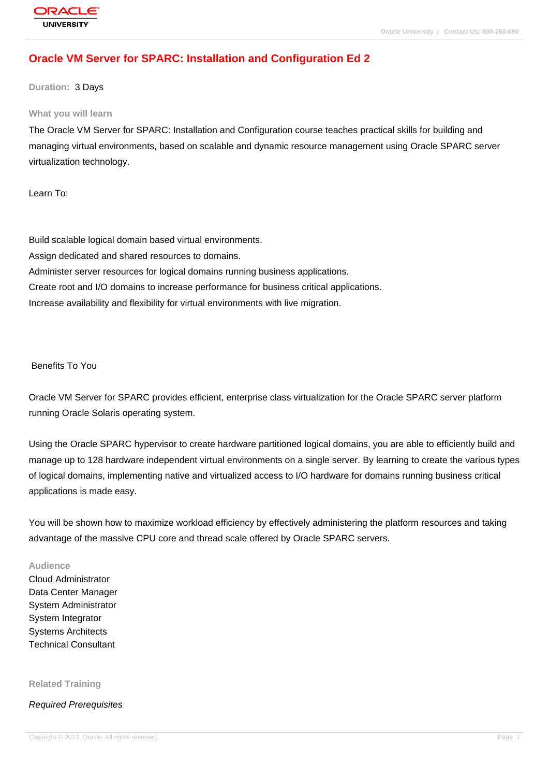# **[Oracle VM Serv](http://education.oracle.com/pls/web_prod-plq-dad/db_pages.getpage?page_id=3)er for SPARC: Installation and Configuration Ed 2**

### **Duration:** 3 Days

#### **What you will learn**

The Oracle VM Server for SPARC: Installation and Configuration course teaches practical skills for building and managing virtual environments, based on scalable and dynamic resource management using Oracle SPARC server virtualization technology.

Learn To:

Build scalable logical domain based virtual environments. Assign dedicated and shared resources to domains. Administer server resources for logical domains running business applications. Create root and I/O domains to increase performance for business critical applications. Increase availability and flexibility for virtual environments with live migration.

Benefits To You

Oracle VM Server for SPARC provides efficient, enterprise class virtualization for the Oracle SPARC server platform running Oracle Solaris operating system.

Using the Oracle SPARC hypervisor to create hardware partitioned logical domains, you are able to efficiently build and manage up to 128 hardware independent virtual environments on a single server. By learning to create the various types of logical domains, implementing native and virtualized access to I/O hardware for domains running business critical applications is made easy.

You will be shown how to maximize workload efficiency by effectively administering the platform resources and taking advantage of the massive CPU core and thread scale offered by Oracle SPARC servers.

### **Audience**

Cloud Administrator Data Center Manager System Administrator System Integrator Systems Architects Technical Consultant

**Related Training**

Required Prerequisites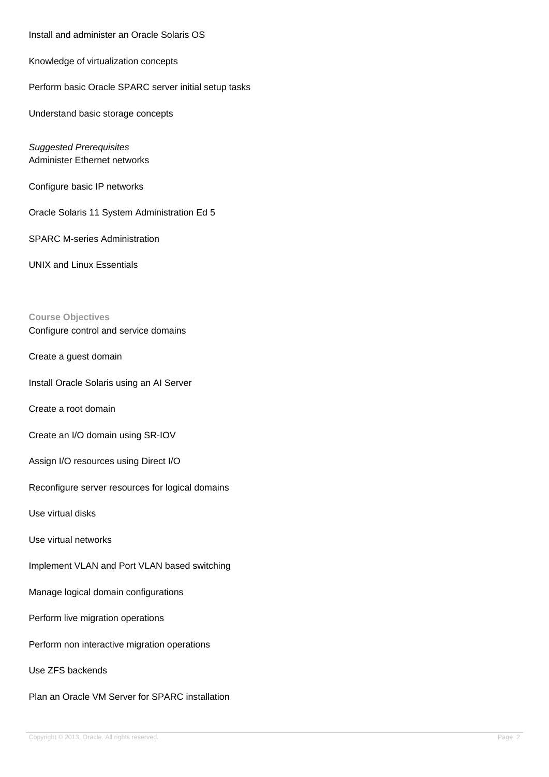Install and administer an Oracle Solaris OS

Knowledge of virtualization concepts

Perform basic Oracle SPARC server initial setup tasks

Understand basic storage concepts

Suggested Prerequisites Administer Ethernet networks

Configure basic IP networks

Oracle Solaris 11 System Administration Ed 5

SPARC M-series Administration

UNIX and Linux Essentials

### **Course Objectives**

Configure control and service domains

Create a guest domain

Install Oracle Solaris using an AI Server

Create a root domain

Create an I/O domain using SR-IOV

Assign I/O resources using Direct I/O

Reconfigure server resources for logical domains

Use virtual disks

Use virtual networks

Implement VLAN and Port VLAN based switching

Manage logical domain configurations

Perform live migration operations

Perform non interactive migration operations

Use ZFS backends

Plan an Oracle VM Server for SPARC installation